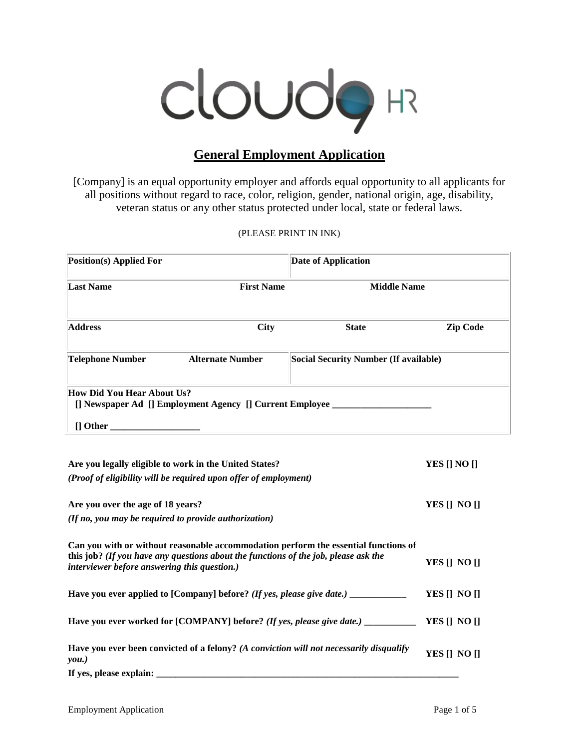

# **General Employment Application**

[Company] is an equal opportunity employer and affords equal opportunity to all applicants for all positions without regard to race, color, religion, gender, national origin, age, disability, veteran status or any other status protected under local, state or federal laws.

(PLEASE PRINT IN INK)

| Position(s) Applied For                                                                                     |              | <b>Date of Application</b>                                         |  |  |  |  |
|-------------------------------------------------------------------------------------------------------------|--------------|--------------------------------------------------------------------|--|--|--|--|
| <b>First Name</b>                                                                                           |              |                                                                    |  |  |  |  |
| <b>City</b>                                                                                                 | <b>State</b> | <b>Zip Code</b>                                                    |  |  |  |  |
| <b>Alternate Number</b>                                                                                     |              |                                                                    |  |  |  |  |
| How Did You Hear About Us?<br>[] Newspaper Ad [] Employment Agency [] Current Employee ________<br>[] Other |              |                                                                    |  |  |  |  |
|                                                                                                             |              | <b>Middle Name</b><br><b>Social Security Number (If available)</b> |  |  |  |  |

| Are you legally eligible to work in the United States?                                                                                     | YES [] NO []     |
|--------------------------------------------------------------------------------------------------------------------------------------------|------------------|
| (Proof of eligibility will be required upon offer of employment)                                                                           |                  |
|                                                                                                                                            |                  |
| Are you over the age of 18 years?                                                                                                          | YES [] NO []     |
| (If no, you may be required to provide authorization)                                                                                      |                  |
| Can you with or without reasonable accommodation perform the essential functions of                                                        |                  |
| this job? (If you have any questions about the functions of the job, please ask the<br><i>interviewer before answering this question.)</i> | YES [] NO []     |
| Have you ever applied to [Company] before? (If yes, please give date.) _________                                                           | YES [] NO []     |
| Have you ever worked for [COMPANY] before? (If yes, please give date.) _________                                                           | YES $[]$ NO $[]$ |
| Have you ever been convicted of a felony? (A conviction will not necessarily disqualify<br>you.)                                           | YES [] NO []     |
| If yes, please explain:                                                                                                                    |                  |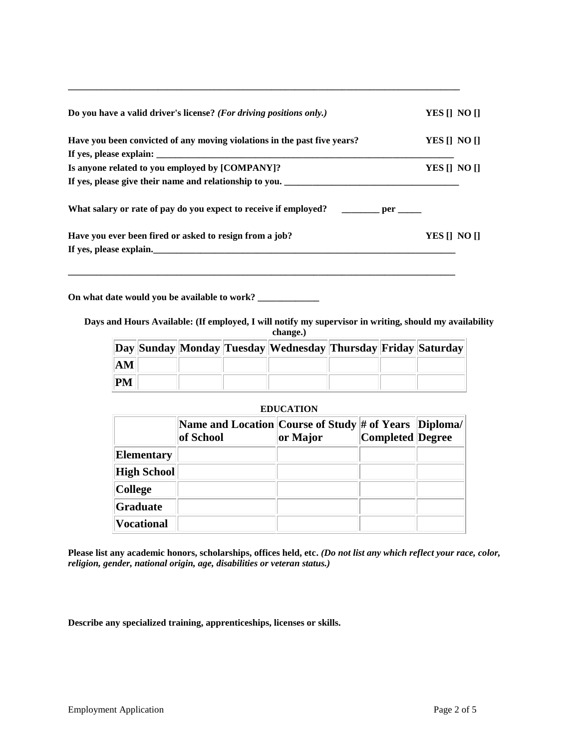| Do you have a valid driver's license? (For driving positions only.)                    | YES [] NO [] |  |
|----------------------------------------------------------------------------------------|--------------|--|
| Have you been convicted of any moving violations in the past five years?               | YES II NO II |  |
|                                                                                        |              |  |
| Is anyone related to you employed by [COMPANY]?                                        | YES [] NO [] |  |
| If yes, please give their name and relationship to you.                                |              |  |
| What salary or rate of pay do you expect to receive if employed? __________ per ______ |              |  |
| Have you ever been fired or asked to resign from a job?                                | YES II NO II |  |
| If yes, please explain.                                                                |              |  |
|                                                                                        |              |  |

**\_\_\_\_\_\_\_\_\_\_\_\_\_\_\_\_\_\_\_\_\_\_\_\_\_\_\_\_\_\_\_\_\_\_\_\_\_\_\_\_\_\_\_\_\_\_\_\_\_\_\_\_\_\_\_\_\_\_\_\_\_\_\_\_\_\_\_\_\_\_\_\_\_\_\_\_\_\_\_\_\_\_\_**

**On what date would you be available to work? \_\_\_\_\_\_\_\_\_\_\_\_\_** 

**Days and Hours Available: (If employed, I will notify my supervisor in writing, should my availability change.)**

|                        |  | Day Sunday Monday Tuesday Wednesday Thursday Friday Saturday |  |  |
|------------------------|--|--------------------------------------------------------------|--|--|
| $\mathbf{A}\mathbf{M}$ |  |                                                              |  |  |
| <b>PM</b>              |  |                                                              |  |  |

| <b>EDUCATION</b>  |                                                                      |          |                  |  |  |  |  |
|-------------------|----------------------------------------------------------------------|----------|------------------|--|--|--|--|
|                   | Name and Location Course of Study # of Years   Diploma/<br>of School | or Major | Completed Degree |  |  |  |  |
| <b>Elementary</b> |                                                                      |          |                  |  |  |  |  |
| High School       |                                                                      |          |                  |  |  |  |  |
| <b>College</b>    |                                                                      |          |                  |  |  |  |  |
| Graduate          |                                                                      |          |                  |  |  |  |  |
| <b>Vocational</b> |                                                                      |          |                  |  |  |  |  |

**Please list any academic honors, scholarships, offices held, etc.** *(Do not list any which reflect your race, color, religion, gender, national origin, age, disabilities or veteran status.)*

**Describe any specialized training, apprenticeships, licenses or skills.**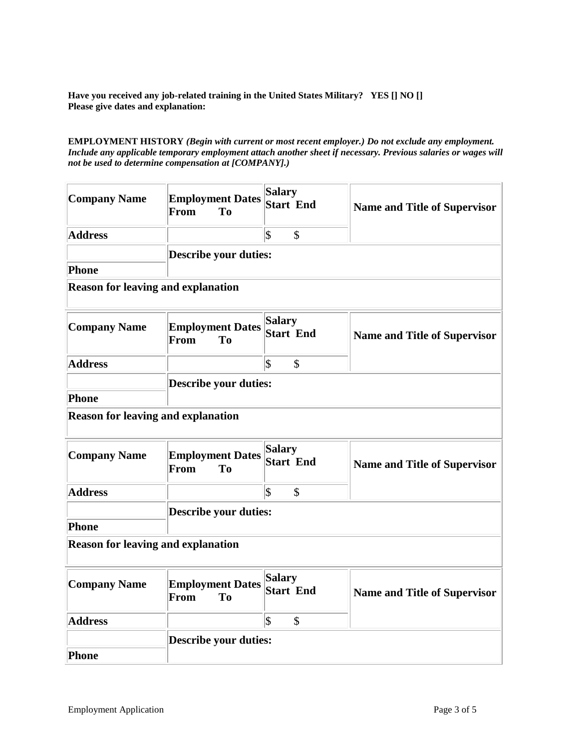**Have you received any job-related training in the United States Military? YES [] NO [] Please give dates and explanation:** 

## **EMPLOYMENT HISTORY** *(Begin with current or most recent employer.) Do not exclude any employment. Include any applicable temporary employment attach another sheet if necessary. Previous salaries or wages will not be used to determine compensation at [COMPANY].)*

| <b>Company Name</b>                       | <b>Employment Dates</b><br><b>To</b><br>From      | <b>Salary</b><br><b>Start End</b> | <b>Name and Title of Supervisor</b> |
|-------------------------------------------|---------------------------------------------------|-----------------------------------|-------------------------------------|
| <b>Address</b>                            |                                                   | $ \mathfrak{F} $<br>$\mathcal{S}$ |                                     |
|                                           | <b>Describe your duties:</b>                      |                                   |                                     |
| Phone                                     |                                                   |                                   |                                     |
| <b>Reason for leaving and explanation</b> |                                                   |                                   |                                     |
| <b>Company Name</b>                       | <b>Employment Dates</b><br>T <sub>o</sub><br>From | <b>Salary</b><br><b>Start End</b> | <b>Name and Title of Supervisor</b> |
| <b>Address</b>                            |                                                   | $ \mathsf{\$}$<br>$\mathbb{S}$    |                                     |
|                                           | <b>Describe your duties:</b>                      |                                   |                                     |
| <b>Phone</b>                              |                                                   |                                   |                                     |
| <b>Reason for leaving and explanation</b> |                                                   |                                   |                                     |
| <b>Company Name</b>                       | <b>Employment Dates</b><br>T <sub>o</sub><br>From | <b>Salary</b><br><b>Start End</b> | <b>Name and Title of Supervisor</b> |
| <b>Address</b>                            |                                                   | $ \mathfrak{F} $<br>\$            |                                     |
|                                           | <b>Describe your duties:</b>                      |                                   |                                     |
| <b>Phone</b>                              |                                                   |                                   |                                     |
| <b>Reason for leaving and explanation</b> |                                                   |                                   |                                     |
| <b>Company Name</b>                       | <b>Employment Dates</b><br>From<br>T <sub>o</sub> | <b>Salary</b><br><b>Start End</b> | <b>Name and Title of Supervisor</b> |
| <b>Address</b>                            |                                                   | $ \mathfrak{F} $<br>\$            |                                     |
|                                           | <b>Describe your duties:</b>                      |                                   |                                     |
| <b>Phone</b>                              |                                                   |                                   |                                     |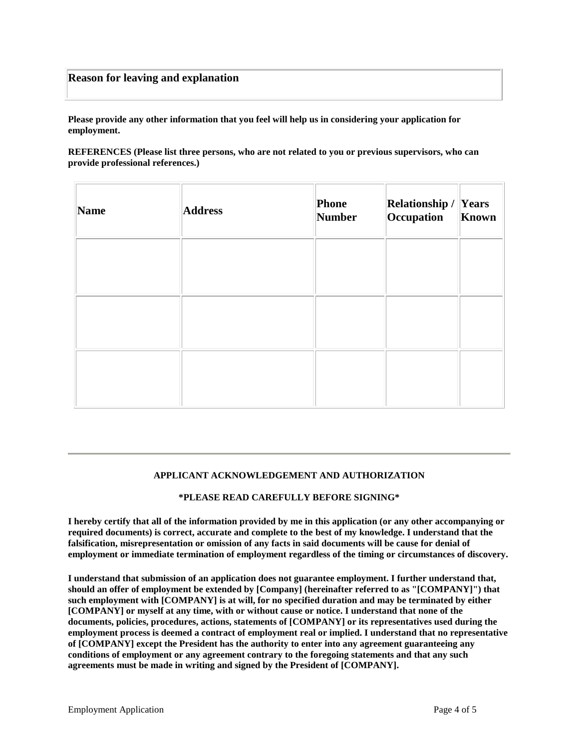## **Reason for leaving and explanation**

**Please provide any other information that you feel will help us in considering your application for employment.** 

**REFERENCES (Please list three persons, who are not related to you or previous supervisors, who can provide professional references.)**

| Name | <b>Address</b> | Phone<br>Number | <b>Relationship / Years</b><br>Occupation | Known |
|------|----------------|-----------------|-------------------------------------------|-------|
|      |                |                 |                                           |       |
|      |                |                 |                                           |       |
|      |                |                 |                                           |       |

## **APPLICANT ACKNOWLEDGEMENT AND AUTHORIZATION**

## **\*PLEASE READ CAREFULLY BEFORE SIGNING\***

**I hereby certify that all of the information provided by me in this application (or any other accompanying or required documents) is correct, accurate and complete to the best of my knowledge. I understand that the falsification, misrepresentation or omission of any facts in said documents will be cause for denial of employment or immediate termination of employment regardless of the timing or circumstances of discovery.** 

**I understand that submission of an application does not guarantee employment. I further understand that, should an offer of employment be extended by [Company] (hereinafter referred to as "[COMPANY]") that such employment with [COMPANY] is at will, for no specified duration and may be terminated by either [COMPANY] or myself at any time, with or without cause or notice. I understand that none of the documents, policies, procedures, actions, statements of [COMPANY] or its representatives used during the employment process is deemed a contract of employment real or implied. I understand that no representative of [COMPANY] except the President has the authority to enter into any agreement guaranteeing any conditions of employment or any agreement contrary to the foregoing statements and that any such agreements must be made in writing and signed by the President of [COMPANY].**